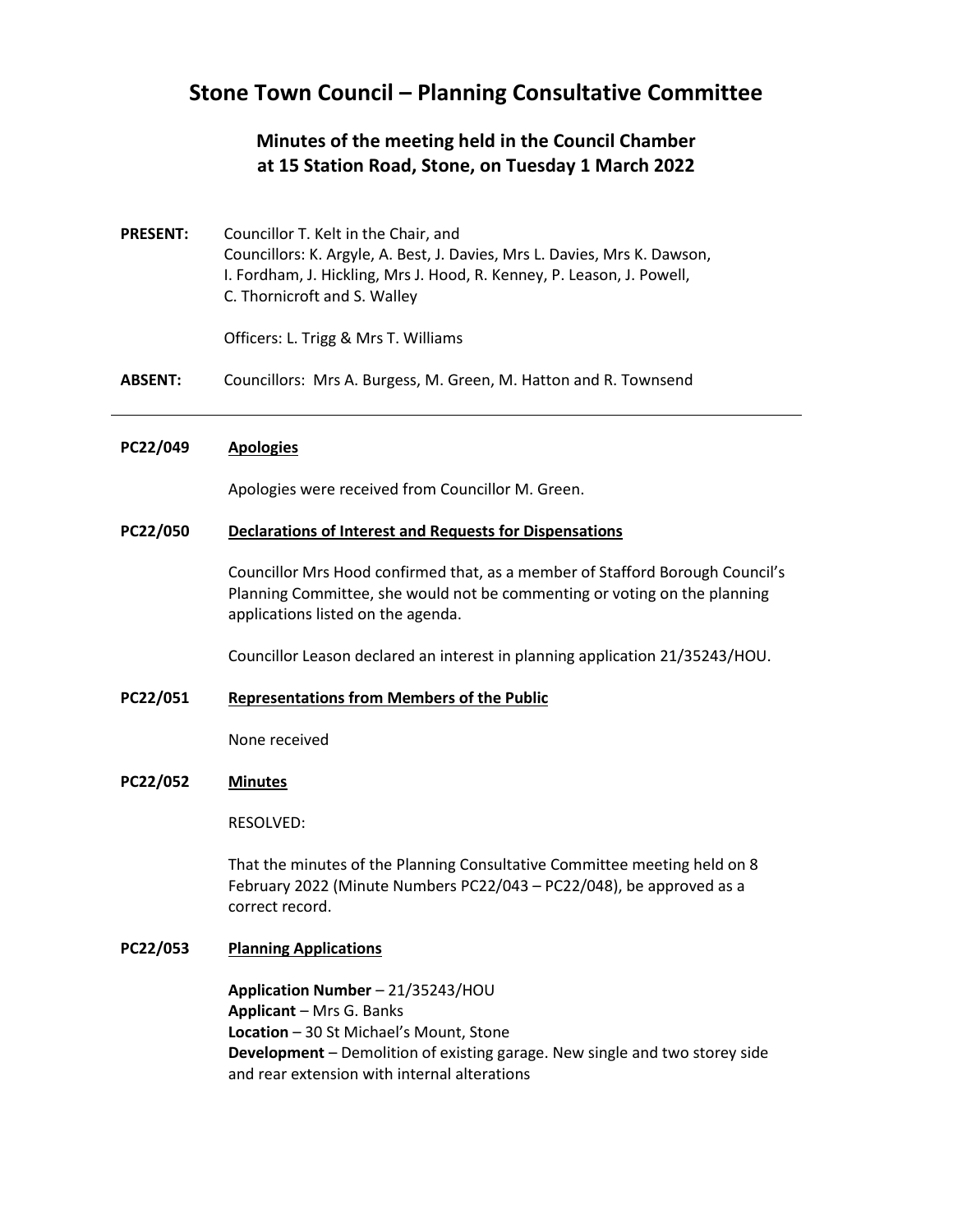# **Stone Town Council – Planning Consultative Committee**

# **Minutes of the meeting held in the Council Chamber at 15 Station Road, Stone, on Tuesday 1 March 2022**

**PRESENT:** Councillor T. Kelt in the Chair, and Councillors: K. Argyle, A. Best, J. Davies, Mrs L. Davies, Mrs K. Dawson, I. Fordham, J. Hickling, Mrs J. Hood, R. Kenney, P. Leason, J. Powell, C. Thornicroft and S. Walley

Officers: L. Trigg & Mrs T. Williams

**ABSENT:** Councillors: Mrs A. Burgess, M. Green, M. Hatton and R. Townsend

### **PC22/049 Apologies**

Apologies were received from Councillor M. Green.

## **PC22/050 Declarations of Interest and Requests for Dispensations**

Councillor Mrs Hood confirmed that, as a member of Stafford Borough Council's Planning Committee, she would not be commenting or voting on the planning applications listed on the agenda.

Councillor Leason declared an interest in planning application 21/35243/HOU.

### **PC22/051 Representations from Members of the Public**

None received

### **PC22/052 Minutes**

RESOLVED:

That the minutes of the Planning Consultative Committee meeting held on 8 February 2022 (Minute Numbers PC22/043 – PC22/048), be approved as a correct record.

# **PC22/053 Planning Applications**

**Application Number** – 21/35243/HOU **Applicant** – Mrs G. Banks **Location** – 30 St Michael's Mount, Stone **Development** – Demolition of existing garage. New single and two storey side and rear extension with internal alterations